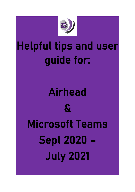

# Helpful tips and user guide for:

# Airhead & Microsoft Teams Sept 2020 – July 2021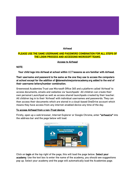#### Airhead

# PLEASE USE THE SAME USERNAME AND PASSWORD COMBINATION FOR ALL STEPS OF THE LOGIN PROCESS AND ACCESSING MICROSOFT TEAMS.

Access to Airhead

## NOTE:

Your child logs into Airhead at school within I.C.T lessons so are familiar with Airhead.

# Their username and password is the same as the one they use to access the computers at school except for the addition of @danesholmejunioracademy.org added to the end of their username letters/number combination.

Greenwood Academies Trust use Microsoft Office 365 and a platform called 'Airhead' to access documents, emails and websites via 'launchpads'. All children can create their own personal Launchpad as well as access shared launchpads created by their teacher. All children log in to their 'Airhead' with individual usernames and passwords. They can then access their documents which are stored in a cloud-based OneDrive account which means they have access from any internet-enabled device any time of the day.

# To access Airhead from a non-Trust device;

Firstly, open up a web browser, Internet Explorer or Google Chrome, enter "airhead.io" into the address bar and the page below will load.



Click on login at the top right of the page, this will load the page below. Select your academy. Use the text box to enter the name of the academy, you should see suggestions pop up. Select your academy and the page will automatically load the Academies page.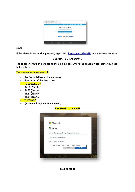

# NOTE:

If the above is not working for you, type URL:[https://gat.airhead.io](https://eur01.safelinks.protection.outlook.com/?url=https%3A%2F%2Fgat.airhead.io%2F&data=02%7C01%7Clrussell-mason%40danesholmejunioracademy.org%7Cfb306353a8334b1fe5ce08d7d79b3b2e%7Ca091745ab7d84d7ab2a61359053d4510%7C0%7C0%7C637214934023472599&sdata=Y70%2F110%2BeOUJq9Dhl7K%2FqXz4X3l9Kp92pjERJYZ7veU%3D&reserved=0) into your web browser.

# USERNAME & PASSWORD

The children will then be taken to the sign in page, where the academy username will need to be entered.

# The username is made up of:

- the first 4 letters of the surname
- first letter of the first name
- FOLLOWED BY
- 17.81 (Year 3)
- 16.81 (Year 4)
- 15.81 (Year 5)
- 14.81 (Year 6)
- THEN ADD
- @danesholmejunioracademy.org

# PASSWORD – Junior19



Click SIGN IN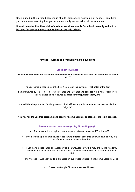Once signed in the airhead homepage should look exactly as it looks at school. From here you can access anything that you would normally access when at the academy.

# It must be noted that the children's school email account is for school use only and not to be used for personal messages to be sent outside school.

# Airhead – Access and Frequently asked questions

#### Logging in to Airhead

#### This is the same email and password combination your child uses to access the computers at school in I.C.T.

The username is made up of; the first 4 letters of the surname, first letter of the first

name followed by 17.81 (Y3), 16.81 (Y4), 15.81 (Y5) and 14.81 (Y6) and because it is a non-trust device this will need to be followed by @danesholmejunioracademy.org

You will then be prompted for the password Junior19. Once you have entered the password click "sign in"

#### You will need to use this username and password combination at all stages of the log in process.

#### Frequently asked questions regarding Airhead logging in

- The password is a capital J and no space between Junior and 19 Junior19
- If you are using the same device to log in two different accounts, you will have to fully log out of one account to access the other.
- If you have logged in for one Academy (e.g. Infant Academy), this may pre fill the Academy selection and email address. Make sure you have selected the correct Academy for your child.
- The "Access to Airhead" guide is available on our website under Pupils/Home Learning Zone
	- Please use Google Chrome to access Airhead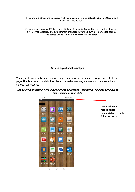- If you are still struggling to access Airhead, please try typing gat.airhead.io into Google and follow the steps as usual
- if you are working on a PC, have one child use Airhead in Google Chrome and the other use it in Internet Explorer. The two different browsers have their own directories for cookies and stored logins that do not connect to each other.

# Airhead layout and Launchpad

When you 1<sup>st</sup> login to Airhead, you will be presented with your child's own personal Airhead page. This is where your child has placed the websites/programmes that they use within school I.C.T lessons.

# The below is an example of a pupils Airhead Launchpad – the layout will differ per pupil as this is unique to your child.

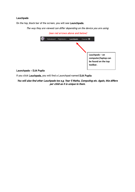# Lauchpads

On the top, black bar of the screen, you will see Launchpads.

The way they are viewed can differ depending on the device you are using



#### Launchpads – DJA Pupils

If you click Lauchpads, you will find a Launchpad named DJA Pupils

You will also find other Lauchpads too e.g. Year 5 Maths, Computing etc. Again, this differs per child as it is unique to them.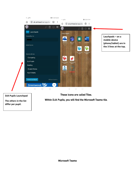

Microsoft Teams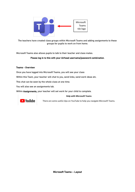

The teachers have created class groups within Microsoft Teams and adding assignments to these groups for pupils to work on from home.

Microsoft Teams also allows pupils to talk to their teacher and class mates.

#### Please log in to this with your Airhead username/password combination.

#### Teams - Overview

Once you have logged into Microsoft Teams, you will see your class

Within this Team, your teacher will chat to you, send links, send work ideas etc.

This chat can be seen by the whole class at one time.

You will also see an assignments tab.

Within Assignments, your teacher will set work for your child to complete.

#### **Help with Microsoft Teams**



There are some useful clips on YouTube to help you navigate Microsoft Teams.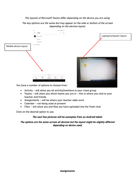# The layouts of Microsoft Teams differ depending on the device you are using.

The key options are the same but may appear on the side or bottom of the screen depending on the devices layout.



You have a number of options to choose from:

- Activity will show you all activity/mentions to your class group
- Teams will show you which teams you are in this is where you chat to your teacher and friends
- Assignments will be where your teacher adds work
- Calendar not being used at present
- Files will show you and files you have uploaded into the Team chat

Click on the desired option to use.

# The next few pictures will be examples from an Android tablet.

The options are the same across all devices but the layout might be slightly different depending on device used.

**Assignments**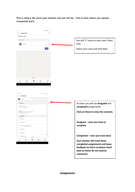# This is where the work your teacher has set will be – this is also where you upload completed work.

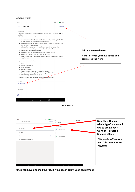#### Adding work:



Add work

| EE M.                             |                  | FE IA | <b>DI <br/> 2 / 22:15</b>   | New file - Choose                         |
|-----------------------------------|------------------|-------|-----------------------------|-------------------------------------------|
| Attach a resource<br>$\leftarrow$ | CANCEL           |       | <b>New File</b>             |                                           |
| <b>OneDrive</b>                   |                  |       | Choose a file type          | which "type" you would                    |
| + New File                        | 5                | Ø.    | Word document               | like to create your<br>work on - create a |
| ම Link                            | ⋋                | œ     | PowerPoint presentation     | title and attach                          |
| ะ <sub>อ๊</sub> ะ Teams           |                  | œ     | Excel spreadsheet           |                                           |
| 囿<br>Upload from this device      |                  |       |                             | This guide will show a                    |
|                                   |                  |       |                             | word document as an<br>example.           |
|                                   |                  |       |                             |                                           |
|                                   |                  |       |                             |                                           |
|                                   |                  |       |                             |                                           |
|                                   |                  |       |                             |                                           |
|                                   |                  |       |                             |                                           |
| $\sim$                            | $\sim$<br>$\Box$ |       | $\wedge$ $\wedge$<br>$\Box$ |                                           |

Once you have attached the file, it will appear below your assignment